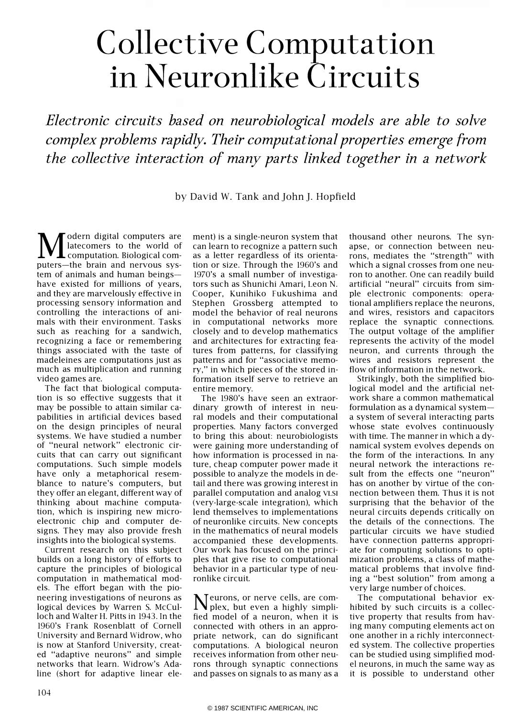# Collective Computation in Neuronlike Circuits

Electronic circuits based on neurobiological models are able to solve complex problems rapidly. Their computational properties emerge {rom the collective interaction of many parts linked together in a network

by David W. Tank and John]. Hopfield

**W** latecomers to the world of<br>puters—the brain and nervous sysodern digital computers are latecomers to the world of computation. Biological comtem of animals and human beingshave existed for millions of years, and they are marvelously effective in processing sensory information and controlling the interactions of animals with their environment. Tasks such as reaching for a sandwich, recognizing a face or remembering things associated with the taste of madeleines are computations just as much as multiplication and running video games are.

The fact that biological computation is so effective suggests that it may be possible to attain similar capabilities in artificial devices based on the design principles of neural systems. We have studied a number of "neural network" electronic circuits that can carry out significant computations. Such simple models have only a metaphorical resemblance to nature's computers, but they offer an elegant, different way of thinking about machine computation, which is inspiring new microelectronic chip and computer designs. They may also provide fresh insights into the biological systems.

Current research on this subject builds on a long history of efforts to capture the principles of biological computation in mathematical models. The effort began with the pioneering investigations of neurons as logical devices by Warren S. McCulloch and Walter H. Pitts in 1943. In the 1960's Frank Rosenblatt of Cornell University and Bernard Widrow, who is now at Stanford University, created "adaptive neurons" and simple networks that learn. Widrow's Adaline (short for adaptive linear element) is a single-neuron system that can learn to recognize a pattern such as a letter regardless of its orientation or size. Through the 1960's and 1970's a small number of investigators such as Shunichi Amari, Leon N. Cooper, Kunihiko Fukushima and Stephen Grossberg attempted to model the behavior of real neurons in computational networks more closely and to develop mathematics and architectures for extracting features from patterns, for classifying patterns and for "associative memory," in which pieces of the stored information itself serve to retrieve an entire memory.

The 1980's have seen an extraordinary growth of interest in neural models and their computational properties. Many factors converged to bring this about: neurobiologists were gaining more understanding of how information is processed in nature, cheap computer power made it possible to analyze the models in detail and there was growing interest in parallel computation and analog VLSI (very-large-scale integration), which lend themselves to implementations of neuronlike circuits. New concepts in the mathematics of neural models accompanied these developments. Our work has focused on the principles that give rise to computational behavior in a particular type of neuronlike circuit.

Neurons, or nerve cells, are com-<br>plex, but even a highly simpliplex, but even a highly Simplified model of a neuron, when it is connected with others in an appropriate network, can do significant computations. A biological neuron receives information from other neurons through synaptic connections and passes on signals to as many as a thousand other neurons. The synapse, or connection between neurons, mediates the "strength" with which a signal crosses from one neuron to another. One can readily build artificial "neural" circuits from simple electronic components: operational amplifiers replace the neurons, and wires, resistors and capacitors replace the synaptic connections. The output voltage of the amplifier represents the activity of the model neuron, and currents through the wires and resistors represent the flow of information in the network.

Strikingly, both the simplified biological model and the artificial network share a common mathematical formulation as a dynamical systema system of several interacting parts whose state evolves continuously with time. The manner in which a dynamical system evolves depends on the form of the interactions. In any neural network the interactions result from the effects one "neuron" has on another by virtue of the connection between them. Thus it is not surprising that the behavior of the neural circuits depends critically on the details of the connections. The particular circuits we have studied have connection patterns appropriate for computing solutions to optimization problems, a class of mathematical problems that involve finding a "best solution" from among a very large number of choices.

The computational behavior exhibited by such circuits is a collective property that results from having many computing elements act on one another in a richly interconnected system. The collective properties can be studied using simplified model neurons, in much the same way as it is possible to understand other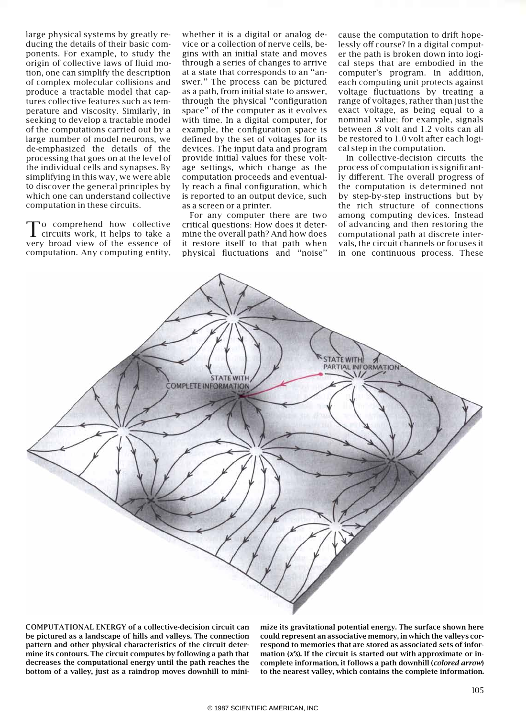large physical systems by greatly reducing the details of their basic components. For example, to study the origin of collective laws of fluid motion, one can simplify the description of complex molecular collisions and produce a tractable model that captures collective features such as temperature and viscosity. Similarly, in seeking to develop a tractable model of the computations carried out by a large number of model neurons, we de-emphasized the details of the processing that goes on at the level of the individual cells and synapses. By simplifying in this way, we were able to discover the general principles by which one can understand collective computation in these circuits.

I circuits work, it helps to take a o comprehend how collective very broad view of the essence of computation. Any computing entity,

whether it is a digital or analog device or a collection of nerve cells, begins with an initial state and moves through a series of changes to arrive at a state that corresponds to an "answer." The process can be pictured as a path, from initial state to answer, through the physical "configuration space" of the computer as it evolves with time. In a digital computer, for example, the configuration space is defined by the set of voltages for its devices. The input data and program provide initial values for these voltage settings, which change as the computation proceeds and eventually reach a final configuration, which is reported to an output device, such as a screen or a printer.

For any computer there are two critical questions: How does it determine the overall path? And how does it restore itself to that path when physical fluctuations and "noise"

cause the computation to drift hopelessly off course? In a digital computer the path is broken down into logical steps that are embodied in the computer's program. In addition, each computing unit protects against voltage fluctuations by treating a range of voltages, rather than just the exact voltage, as being equal to a nominal value; for example, signals between .8 volt and 1.2 volts can all be restored to 1.0 volt after each logical step in the computation.

In collective-decision circuits the process of computation is significantly different. The overall progress of the computation is determined not by step-by-step instructions but by the rich structure of connections among computing devices. Instead of advancing and then restoring the computational path at discrete intervals, the circuit channels or focuses it in one continuous process. These



COMPUTATIONAL ENERGY of a collective-decision circuit can be pictured as a landscape of hills and valleys. The connection pattern and other physical characteristics of the circuit determine its contours. The circuit computes by following a path that decreases the computational energy until the path reaches the bottom of a valley, just as a raindrop moves downhill to minimize its gravitational potential energy. The surface shown here could represent an associative memory, in which the valleys correspond to memories that are stored as associated sets of information (x's). If the circuit is started out with approximate or incomplete information, it follows a path downhill (colored arrow) to the nearest valley, which contains the complete information.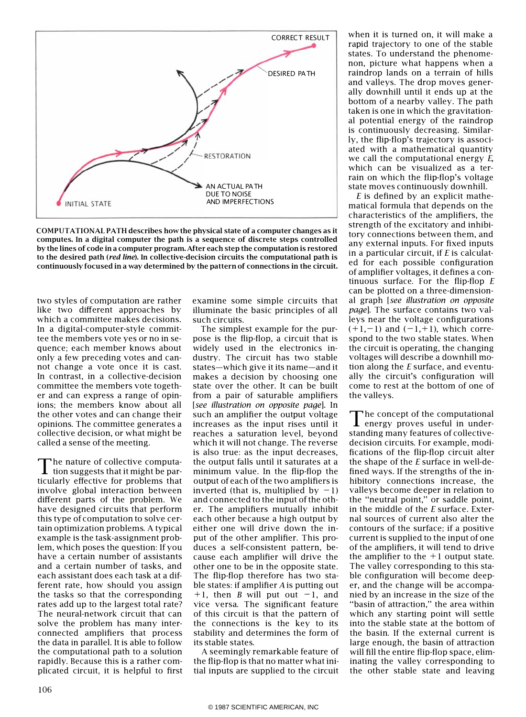

COMPUTATIONAL PATH describes how the physical state of a computer changes as it computes. In a digital computer the path is a sequence of discrete steps controlled by the lines of code in a computer program. After each step the computation is restored to the desired path (red line). In collective-decision circuits the computational path is continuously focused in a way determined by the pattern of connections in the circuit.

two styles of computation are rather like two different approaches by which a committee makes decisions. In a digital-computer-style committee the members vote yes or no in sequence; each member knows about only a few preceding votes and cannot change a vote once it is cast. In contrast, in a collective-decision committee the members vote together and can express a range of opinions; the members know about all the other votes and can change their opinions. The committee generates a collective decision, or what might be called a sense of the meeting.

 $\prod$  tion suggests that it might be parhe nature of collective computaticularly effective for problems that involve global interaction between different parts of the problem. We have designed circuits that perform this type of computation to solve certain optimization problems. A typical example is the task-assignment problem, which poses the question: If you have a certain number of assistants and a certain number of tasks, and each assistant does each task at a different rate, how should you assign the tasks so that the corresponding rates add up to the largest total rate? The neural-network circuit that can solve the problem has many interconnected amplifiers that process the data in parallel. It is able to follow the computational path to a solution rapidly. Because this is a rather complicated circuit, it is helpful to first examine some simple circuits that illuminate the basic principles of all such circuits.

The simplest example for the purpose is the flip-flop, a circuit that is widely used in the electronics industry. The circuit has two stable states-which give it its name-and it makes a decision by choosing one state over the other. It can be built from a pair of saturable amplifiers [see illustration on opposite page). In such an amplifier the output voltage increases as the input rises until it reaches a saturation level, beyond which it will not change. The reverse is also true: as the input decreases, the output falls until it saturates at a minimum value. In the flip-flop the output of each of the two amplifiers is inverted (that is, multiplied by  $-1$ ) and connected to the input of the other. The amplifiers mutually inhibit each other because a high output by either one will drive down the input of the other amplifier. This produces a self-consistent pattern, because each amplifier will drive the other one to be in the opposite state. The flip-flop therefore has two stable states: if amplifier A is putting out  $+1$ , then B will put out  $-1$ , and vice versa. The significant feature of this circuit is that the pattern of the connections is the key to its stability and determines the form of its stable states.

A seemingly remarkable feature of the flip-flop is that no matter what initial inputs are supplied to the circuit

when it is turned on, it will make a rapid trajectory to one of the stable states. To understand the phenomenon, picture what happens when a raindrop lands on a terrain of hills and valleys. The drop moves generally downhill until it ends up at the bottom of a nearby valley. The path taken is one in which the gravitational potential energy of the raindrop is continuously decreasing. Similarly, the flip-flop's trajectory is associated with a mathematical quantity we call the computational energy  $E$ , which can be visualized as a terrain on which the flip-flop's voltage state moves continuously downhill.

 $E$  is defined by an explicit mathematical formula that depends on the characteristics of the amplifiers, the strength of the excitatory and inhibitory connections between them, and any external inputs. For fixed inputs in a particular circuit, if  $E$  is calculated for each possible configuration of amplifier voltages, it defines a continuous surface. For the flip-flop  $E$ can be plotted on a three-dimensional graph [see illustration on opposite page). The surface contains two valleys near the voltage configurations  $(+1,-1)$  and  $(-1,+1)$ , which correspond to the two stable states. When the circuit is operating, the changing voltages will describe a downhill motion along the E surface, and eventually the circuit's configuration will come to rest at the bottom of one of the valleys.

The concept of the computational he concept of the computational standing many features of collectivedecision circuits. For example, modifications of the flip-flop circuit alter the shape of the  $E$  surface in well-defined ways. If the strengths of the inhibitory connections increase, the valleys become deeper in relation to the "neutral point," or saddle point, in the middle of the E surface. External sources of current also alter the contours of the surface; if a positive current is supplied to the input of one of the amplifiers, it will tend to drive the amplifier to the  $+1$  output state. The valley corresponding to this stable configuration will become deeper, and the change will be accompanied by an increase in the size of the "basin of attraction," the area within which any starting point will settle into the stable state at the bottom of the basin. If the external current is large enough, the basin of attraction will fill the entire flip-flop space, eliminating the valley corresponding to the other stable state and leaving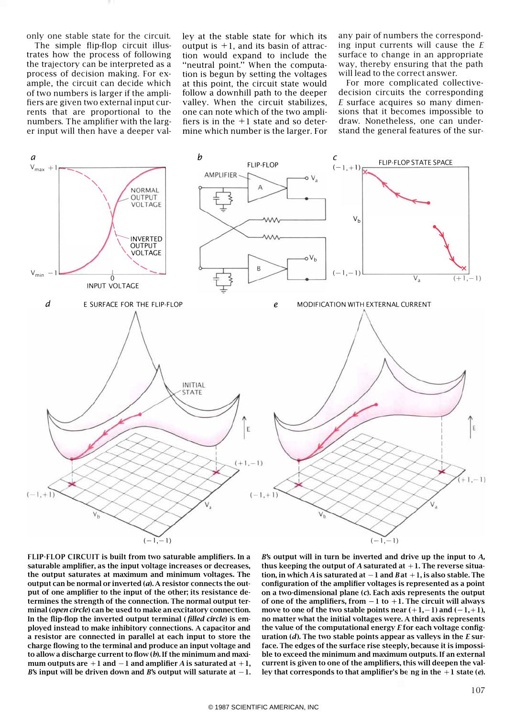only one stable state for the circuit.

The simple flip-flop circuit illustrates how the process of following the trajectory can be interpreted as a process of decision making. For example, the circuit can decide which of two numbers is larger if the amplifiers are given two external input currents that are proportional to the numbers. The amplifier with the larger input will then have a deeper valley at the stable state for which its output is  $+1$ , and its basin of attraction would expand to include the "neutral point." When the computation is begun by setting the voltages at this point, the circuit state would follow a downhill path to the deeper valley. When the circuit stabilizes, one can note which of the two amplifiers is in the  $+1$  state and so determine which number is the larger. For any pair of numbers the corresponding input currents will cause the  $E$ surface to change in an appropriate way, thereby ensuring that the path will lead to the correct answer.

For more complicated collectivedecision circuits the corresponding E surface acquires so many dimensions that it becomes impossible to draw. Nonetheless, one can understand the general features of the sur-



FLIP-FLOP CIRCUIT is built from two saturable amplifiers. In a saturable amplifier, as the input voltage increases or decreases, the output saturates at maximum and minimum voltages. The output can be normal or inverted  $(a)$ . A resistor connects the output of one amplifier to the input of the other; its resistance determines the strength of the connection. The normal output terminal (open circle) can be used to make an excitatory connection. In the flip-flop the inverted output terminal (filled circle) is employed instead to make inhibitory connections. A capacitor and a resistor are connected in parallel at each input to store the charge flowing to the terminal and produce an input voltage and to allow a discharge current to flow  $(b)$ . If the minimum and maximum outputs are  $+1$  and  $-1$  and amplifier A is saturated at  $+1$ , B's input will be driven down and B's output will saturate at  $-1$ .  $B$ 's output will in turn be inverted and drive up the input to  $A$ , thus keeping the output of  $A$  saturated at  $+1$ . The reverse situation, in which A is saturated at  $-1$  and Bat  $+1$ , is also stable. The configuration of the amplifier voltages is represented as a point on a two-dimensional plane  $(c)$ . Each axis represents the output of one of the amplifiers, from  $-1$  to  $+1$ . The circuit will always move to one of the two stable points near  $(+1,-1)$  and  $(-1,+1)$ , no matter what the initial voltages were. A third axis represents the value of the computational energy  $E$  for each voltage configuration  $(d)$ . The two stable points appear as valleys in the  $E$  surface. The edges of the surface rise steeply, because it is impossible to exceed the minimum and maximum outputs. If an external current is given to one of the amplifiers, this will deepen the valley that corresponds to that amplifier's be ng in the  $+1$  state (e).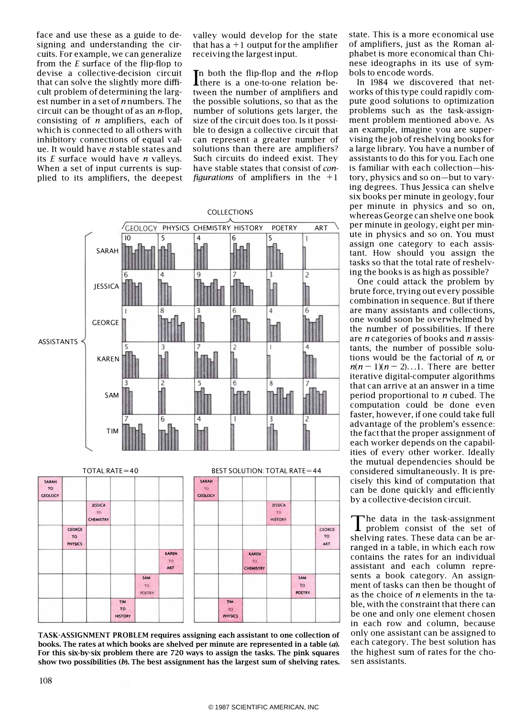face and use these as a guide to designing and understanding the circuits. For example, we can generalize from the  $E$  surface of the flip-flop to devise a collective-decision circuit that can solve the slightly more difficult problem of determining the largest number in a set of *n* numbers. The circuit can be thought of as an  $n$ -flop, consisting of  $n$  amplifiers, each of which is connected to all others with inhibitory connections of equal value. It would have n stable states and its  $E$  surface would have  $n$  valleys. When a set of input currents is supplied to its amplifiers, the deepest valley would develop for the state that has  $a + 1$  output for the amplifier receiving the largest input.

In both the flip-flop and the *n*-flop<br>there is a one-to-one relation be-<br>tween the number of emplifiers and there is a one-to-one relation between the number of amplifiers and the possible solutions, so that as the number of solutions gets larger, the size of the circuit does too. Is it possible to design a collective circuit that can represent a greater number of solutions than there are amplifiers? Such circuits do indeed exist. They have stable states that consist of configurations of amplifiers in the  $+1$ 





state. This is a more economical use of amplifiers, just as the Roman alphabet is more economical than Chinese ideographs in its use of symbols to encode words.

In 1984 we discovered that networks of this type could rapidly compute good solutions to optimization problems such as the task-assignment problem mentioned above. As an example, imagine you are supervising the job of reshelving books for a large library. You have a number of assistants to do this for you. Each one is familiar with each collection-history, physics and so on-but to varying degrees. Thus Jessica can shelve six books per minute in geology, four per minute in physics and so on, whereas George can shelve one book per minute in geology, eight per minute in physics and so on. You must assign one category to each assistant. How should you assign the tasks so that the total rate of reshelving the books is as high as possible?

One could attack the problem by brute force, trying out every possible combination in sequence. But if there are many assistants and collections, one would soon be overwhelmed by the number of possibilities. If there are n categories of books and n assistants, the number of possible solutions would be the factorial of  $n$ , or  $n(n-1)(n-2)...1$ . There are better iterative digital-computer algorithms that can arrive at an answer in a time period proportional to  $n$  cubed. The computation could be done even faster, however, if one could take full advantage of the problem's essence: the fact that the proper assignment of each worker depends on the capabilities of every other worker. Ideally the mutual dependencies should be considered simultaneously. It is precisely this kind of computation that can be done quickly and efficiently by a collective-decision circuit.

I he data in the task-assignment he data in the task-assignment shelving rates. These data can be arranged in a table, in which each row contains the rates for an individual assistant and each column represents a book category. An assignment of tasks can then be thought of as the choice of  $n$  elements in the table, with the constraint that there can be one and only one element chosen in each row and column, because only one assistant can be assigned to each category. The best solution has the highest sum of rates for the chosen assistants.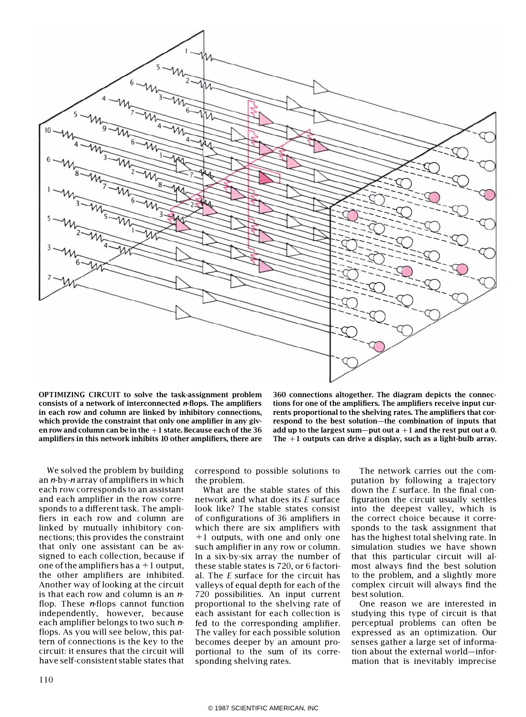

OPTIMIZING CIRCUIT to solve the task-assignment problem consists of a network of interconnected  $n$ -flops. The amplifiers in each row and column are linked by inhibitory connections, which provide the constraint that only one amplifier in any given row and column can be in the  $+1$  state. Because each of the 36 amplifiers in this network inhibits 10 other amplifiers, there are

360 connections altogether. The diagram depicts the connections for one of the amplifiers. The amplifiers receive input currents proportional to the shelving rates. The amplifiers that correspond to the best solution-the combination of inputs that add up to the largest sum--put out  $a + 1$  and the rest put out a 0. The  $+1$  outputs can drive a display, such as a light-bulb array.

We solved the problem by building an n-by-n array of amplifiers in which each row corresponds to an assistant and each amplifier in the row corresponds to a different task. The amplifiers in each row and column are linked by mutually inhibitory connections; this provides the constraint that only one assistant can be assigned to each collection, because if one of the amplifiers has  $a + 1$  output, the other amplifiers are inhibited. Another way of looking at the circuit is that each row and column is an  $n$ flop. These *n*-flops cannot function independently, however, because each amplifier belongs to two such nflops. As you will see below, this pattern of connections is the key to the circuit: it ensures that the circuit will have self-consistent stable states that

correspond to possible solutions to the problem.

What are the stable states of this network and what does its E surface look like? The stable states consist of configurations of 36 amplifiers in which there are six amplifiers with  $+1$  outputs, with one and only one such amplifier in any row or column. In a six-by-six array the number of these stable states is 720, or 6 factorial. The  $E$  surface for the circuit has valleys of equal depth for each of the 720 possibilities. An input current proportional to the shelving rate of each assistant for each collection is fed to the corresponding amplifier. The valley for each possible solution becomes deeper by an amount proportional to the sum of its corresponding shelving rates.

The network carries out the computation by following a trajectory down the  $E$  surface. In the final configuration the circuit usually settles into the deepest valley, which is the correct choice because it corresponds to the task assignment that has the highest total shelving rate. In simulation studies we have shown that this particular circuit will almost always find the best solution to the problem, and a slightly more complex circuit will always find the best solution.

One reason we are interested in studying this type of circuit is that perceptual problems can often be expressed as an optimization. Our senses gather a large set of information about the external world-information that is inevitably imprecise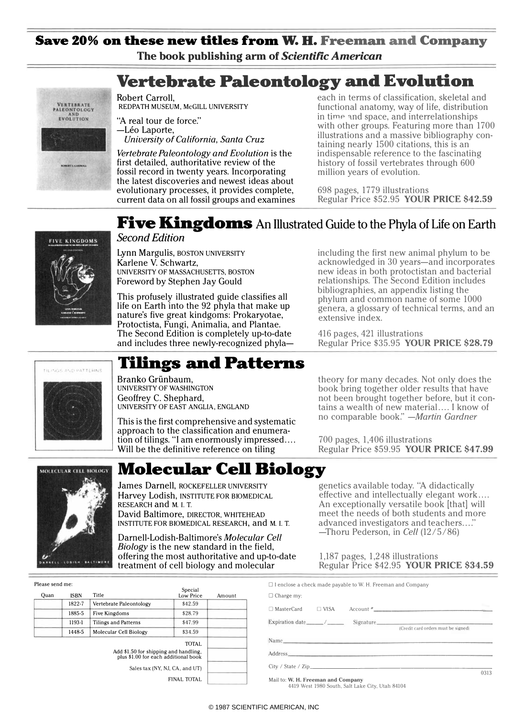### Save 20% on these new titles from W. H. Freeman and Company

The book publishing arm of Scientific American

## Vertebrate Paleontology and Evolution



Robert Carroll, REDPATH MUSEUM, McGILL UNIVERSITY

"A real tour de force." -Leo Laporte,

University of California, Santa Cruz

Vertebrate Paleontology and Evolution is the first detailed, authoritative review of the fossil record in twenty years. Incorporating the latest discoveries and newest ideas about evolutionary processes, it provides complete, current data on all fossil groups and examines each in terms of classification, skeletal and functional anatomy, way of life, distribution in time and space, and interrelationships with other groups. Featuring more than 1700 illustrations and a massive bibliography containing nearly 1500 citations, this is an indispensable reference to the fascinatihg history of fossil vertebrates through 600 million years of evolution.

698 pages, 1779 illustrations Regular Price \$52.95 YOUR PRICE \$42.59

## Five Kingdoms An Illustrated Guide to the Phyla of Life on Earth



Second Edition

Lynn Margulis, BOSTON UNIVERSITY Karlene V. Schwartz, UNIVERSITY OF MASSACHUSETTS, BOSTON Foreword by Stephen Jay Gould

This profusely illustrated guide classifies all life on Earth into the 92 phyla that make up nature's five great kindgoms: Prokaryotae, Protoctista, Fungi, Animalia, and Plantae. The Second Edition is completely up-to-date and includes three newly-recognized phyla-

## Tilings and Patterns

Branko Griinbaum, UNIVERSITY OF WASHINGTON Geoffrey C. Shephard, UNIVERSITY OF EAST ANGLlA, ENGLAND

This is the first comprehensive and systematic approach to the classification and enumeration of tilings. "I am enormously impressed .... Will be the definitive reference on tiling

including the first new animal phylum to be acknowledged in 30 years—and incorporates new ideas in both protoctistan and bacterial relationships. The Second Edition includes bibliographies, an appendix listing the phylum and common name of some 1000 genera, a glossary of technical terms, and an extensive index.

416 pages, 421 illustrations Regular Price \$35.95 YOUR PRICE \$28.79



theory for many decades. Not only does the book bring together older results that have not been brought together before, but it contains a wealth of new material .... I know of no comparable book." - Martin Gardner

700 pages, 1,406 illustrations Regular Price \$59.95 YOUR PRICE \$47.99



## Molecular Cell Biology

James Darnell, ROCKEFELLER UNIVERSITY Harvey Lodish, INSTITUTE FOR BIOMEDICAL RESEARCH and M. l. T.

David Baltimore, DIRECTOR, WHITEHEAD INSTITUTE FOR BIOMEDICAL RESEARCH, and M. l. T.

Darnell-Lodish-Baltimore's Molecular Cell Biology is the new standard in the field, offering the most authoritative and up-to-date treatment of cell biology and molecular

genetics available today. "A didactically effective and intellectually elegant work .... An exceptionally versatile book [that] will meet the needs of both students and more advanced investigators and teachers...." -Thoru Pederson, in *Cell* (12/5/86)

1,187 pages, 1,248 illustrations Regular Price \$42.95 YOUR PRICE \$34.59

| Please send me:                                                                                                                 |             |                             |                      |        | $\Box$ I enclose a check made payable to W. H. Freeman and Company                     |               |  |  |  |
|---------------------------------------------------------------------------------------------------------------------------------|-------------|-----------------------------|----------------------|--------|----------------------------------------------------------------------------------------|---------------|--|--|--|
| Quan                                                                                                                            | <b>ISBN</b> | Title                       | Special<br>Low Price | Amount | $\Box$ Charge my:                                                                      |               |  |  |  |
|                                                                                                                                 | 1822-7      | Vertebrate Paleontology     | \$42.59              |        |                                                                                        | <b>Bridge</b> |  |  |  |
|                                                                                                                                 | 1885-5      | Five Kingdoms               | \$28.79              |        | $\Box$ VISA<br>$\Box$ MasterCard<br>$Account$ $*$                                      |               |  |  |  |
|                                                                                                                                 | 1193-1      | <b>Tilings and Patterns</b> | \$47.99              |        | Expiration date<br>Signature_<br>$\overline{\phantom{a}}$                              |               |  |  |  |
|                                                                                                                                 | 1448-5      | Molecular Cell Biology      | \$34.59              |        | (Credit card orders must be signed)                                                    |               |  |  |  |
| <b>TOTAL</b><br>Add \$1.50 for shipping and handling,<br>plus \$1.00 for each additional book<br>Sales tax (NY, NJ, CA, and UT) |             |                             |                      |        | Name                                                                                   |               |  |  |  |
|                                                                                                                                 |             |                             |                      |        | <b>Address</b>                                                                         |               |  |  |  |
|                                                                                                                                 |             |                             |                      |        |                                                                                        | 0313          |  |  |  |
| <b>FINAL TOTAL</b>                                                                                                              |             |                             |                      |        | Mail to: W. H. Freeman and Company<br>4419 West 1980 South, Salt Lake City, Utah 84104 |               |  |  |  |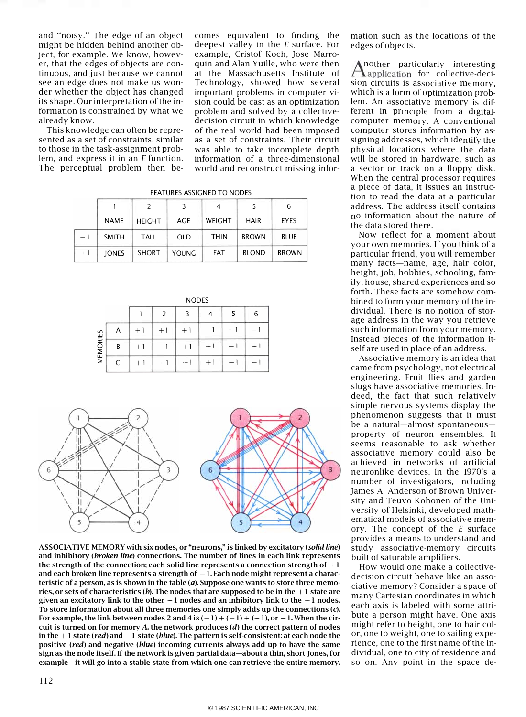and "noisy." The edge of an object might be hidden behind another object, for example. We know, however, that the edges of objects are continuous, and just because we cannot see an edge does not make us wonder whether the object has changed its shape. Our interpretation of the information is constrained by what we already know.

This knowledge can often be represented as a set of constraints, similar to those in the task-assignment problem, and express it in an E function. The perceptual problem then becomes equivalent to finding the deepest valley in the E surface. For example, Cristof Koch, Jose Marroquin and Alan Yuille, who were then at the Massachusetts Institute of Technology, showed how several important problems in computer vision could be cast as an optimization problem and solved by a collectivedecision circuit in which knowledge of the real world had been imposed as a set of constraints. Their circuit was able to take incomplete depth information of a three-dimensional world and reconstruct missing infor-

FEATURES ASSIGNED TO NODES

|      |              |               |              | 4             |              | 6            |
|------|--------------|---------------|--------------|---------------|--------------|--------------|
|      | <b>NAME</b>  | <b>HEIGHT</b> | <b>AGE</b>   | <b>WEIGHT</b> | <b>HAIR</b>  | <b>EYES</b>  |
| $-1$ | <b>SMITH</b> | <b>TALL</b>   | <b>OLD</b>   | <b>THIN</b>   | <b>BROWN</b> | <b>BLUE</b>  |
| $+1$ | <b>IONES</b> | <b>SHORT</b>  | <b>YOUNG</b> | FAT           | <b>BLOND</b> | <b>BROWN</b> |

 $1.12 - 1.2$ 

|                     |   | <b>NODES</b> |      |      |      |                            |      |  |  |
|---------------------|---|--------------|------|------|------|----------------------------|------|--|--|
|                     |   |              |      |      | 4    |                            | 6    |  |  |
| <b>RIES</b><br>MEMO | A | $+1$         | $+1$ | $+1$ |      | ۰.                         |      |  |  |
|                     | B | $+1$         | - 1  | $+1$ | $+1$ | $\overline{\phantom{a}}$ . | $+1$ |  |  |
|                     | C | $+1$         | $+1$ | $-1$ | $+1$ |                            |      |  |  |



ASSOCIATIVE MEMORY with six nodes, or "neurons," is linked by excitatory (solid line) and inhibitory (broken line) connections. The number of lines in each link represents the strength of the connection; each solid line represents a connection strength of  $+1$ and each broken line represents a strength of  $-1$ . Each node might represent a characteristic of a person, as is shown in the table (*a*). Suppose one wants to store three memories, or sets of characteristics (b). The nodes that are supposed to be in the  $+1$  state are given an excitatory link to the other  $+1$  nodes and an inhibitory link to the  $-1$  nodes. To store information about all three memories one simply adds up the connections (c). For example, the link between nodes 2 and 4 is  $(-1) + (-1) + (+1)$ , or  $-1$ . When the circuit is turned on for memory A, the network produces (d) the correct pattern of nodes in the  $+1$  state (*red*) and  $-1$  state (*blue*). The pattern is self-consistent: at each node the positive (red) and negative (blue) incoming currents always add up to have the same sign as the node itself. If the network is given partial data—about a thin, short Jones, for example-it will go into a stable state from which one can retrieve the entire memory.

mation such as the locations of the edges of objects.

Another particularly interesting  $\blacktriangle$ application for collective-decision circuits is associative memory, which is a form of optimization problem. An associative memory is different in principle from a digitalcomputer memory. A conventional computer stores information by assigning addresses, which identify the physical locations where the data will be stored in hardware, such as a sector or track on a floppy disk. When the central processor requires a piece of data, it issues an instruction to read the data at a particular address. The address itself contains no information about the nature of the data stored there.

Now reflect for a moment about your own memories. If you think of a particular friend, you will remember many facts-name, age, hair color, height, job, hobbies, schooling, family, house, shared experiences and so forth. These facts are somehow combined to form your memory of the individual. There is no notion of storage address in the way you retrieve such information from your memory. Instead pieces of the information itself are used in place of an address.

Associative memory is an idea that came from psychology, not electrical engineering. Fruit flies and garden slugs have associative memories. Indeed, the fact that such relatively simple nervous systems display the phenomenon suggests that it must be a natural-almost spontaneousproperty of neuron ensembles. It seems reasonable to ask whether associative memory could also be achieved in networks of artificial neuronlike devices. In the 1970's a number of investigators, including James A. Anderson of Brown University and Teuvo Kohonen of the University of Helsinki, developed mathematical models of associative memory. The concept of the  $E$  surface provides a means to understand and study associative-memory circuits built of saturable amplifiers.

How would one make a collectivedecision circuit behave like an associative memory? Consider a space of many Cartesian coordinates in which each axis is labeled with some attribute a person might have. One axis might refer to height, one to hair color, one to weight, one to sailing experience, one to the first name of the individual, one to city of residence and so on. Any point in the space de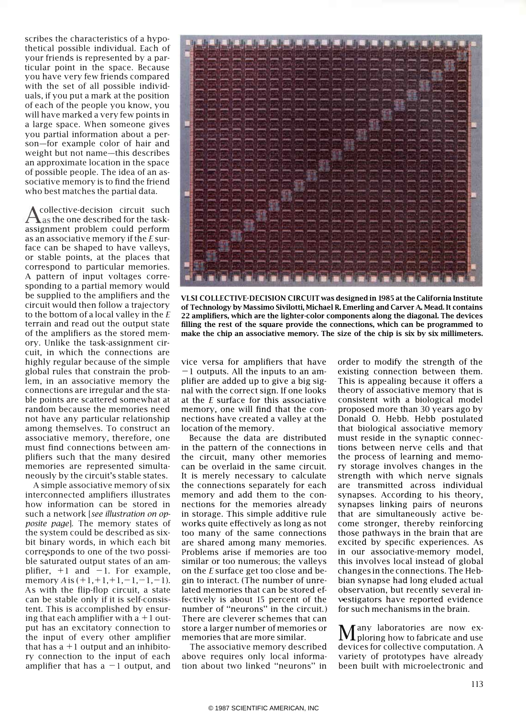scribes the characteristics of a hypothetical possible individual. Each of your friends is represented by a particular point in the space. Because you have very few friends compared with the set of all possible individuals, if you put a mark at the position of each of the people you know, you will have marked a very few points in a large space. When someone gives you partial information about a person-for example color of hair and weight but not name-this describes an approximate location in the space of possible people. The idea of an associative memory is to find the friend who best matches the partial data.

collective-decision circuit such **Las the one described for the task**assignment problem could perform as an associative memory if the E surface can be shaped to have valleys, or stable points, at the places that correspond to particular memories. A pattern of input voltages corresponding to a partial memory would be supplied to the amplifiers and the circuit would then follow a trajectory to the bottom of a local valley in the  $E$ terrain and read out the output state of the amplifiers as the stored memory. Unlike the task-assignment circuit, in which the connections are highly regular because of the simple global rules that constrain the problem, in an associative memory the connections are irregular and the stable points are scattered somewhat at random because the memories need not have any particular relationship among themselves. To construct an associative memory, therefore, one must find connections between amplifiers such that the many desired memories are represented simultaneously by the circuit's stable states.

A simple associative memory of six interconnected amplifiers illustrates how information can be stored in such a network [see illustration on opposite page]. The memory states of the system could be described as sixbit binary words, in which each bit corresponds to one of the two possible saturated output states of an amplifier,  $+1$  and  $-1$ . For example, memory  $A$  is  $(+1, +1, +1, -1, -1, -1)$ . As with the flip-flop circuit, a state can be stable only if it is self-consistent. This is accomplished by ensuring that each amplifier with a  $+1$  output has an excitatory connection to the input of every other amplifier that has  $a + 1$  output and an inhibitory connection to the input of each amplifier that has  $a - 1$  output, and



VLSI COLLECTIVE-DECISION CIRCUIT was designed in 1985 at the California Institute of Technology by Massimo Sivilotti, Michael R. Emerling and Carver A Mead. It contains 22 amplifiers, which are the lighter-color components along the diagonal. The devices filling the rest of the square provide the connections, which can be programmed to make the chip an associative memory. The size of the chip is six by six millimeters.

vice versa for amplifiers that have  $-1$  outputs. All the inputs to an amplifier are added up to give a big signal with the correct sign. If one looks at the  $E$  surface for this associative memory, one will find that the connections have created a valley at the location of the memory.

Because the data are distributed in the pattern of the connections in the circuit, many other memories can be overlaid in the same circuit. It is merely necessary to calculate the connections separately for each memory and add them to the connections for the memories already in storage. This simple additive rule works quite effectively as long as not too many of the same connections are shared among many memories. Problems arise if memories are too similar or too numerous; the valleys on the E surface get too close and begin to interact. (The number of unrelated memories that can be stored effectively is about 15 percent of the number of "neurons" in the circuit.) There are cleverer schemes that can store a larger number of memories or memories that are more similar.

The associative memory described above requires only local information about two linked "neurons" in

order to modify the strength of the existing connection between them. This is appealing because it offers a theory of associative memory that is consistent with a biological model proposed more than 30 years ago by Donald O. Hebb. Hebb postulated that biological associative memory must reside in the synaptic connections between nerve cells and that the process of learning and memory storage involves changes in the strength with which nerve signals are transmitted across individual synapses. According to his theory, synapses linking pairs of neurons that are simultaneously active become stronger, thereby reinforcing those pathways in the brain that are excited by specific experiences. As in our associative-memory model, this involves local instead of global changes in the connections. The Hebbian synapse had long eluded actual observation, but recently several investigators have reported evidence for such mechanisms in the brain.

**M** ploring how to fabricate and use any laboratories are now exdevices for collective computation. A variety of prototypes have already been built with microelectronic and